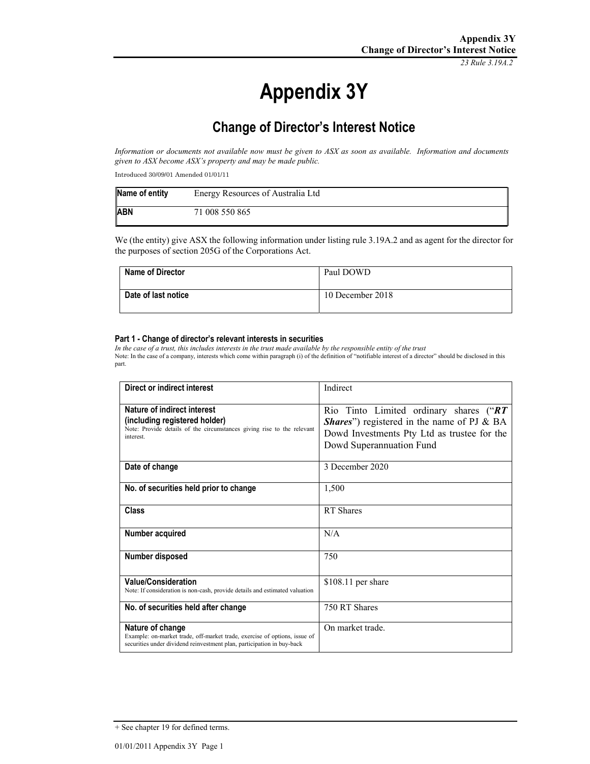*23 Rule 3.19A.2*

# **Appendix 3Y**

# **Change of Director's Interest Notice**

*Information or documents not available now must be given to ASX as soon as available. Information and documents given to ASX become ASX's property and may be made public.* 

Introduced 30/09/01 Amended 01/01/11

| Name of entity | Energy Resources of Australia Ltd |
|----------------|-----------------------------------|
| <b>ABN</b>     | 71 008 550 865                    |

We (the entity) give ASX the following information under listing rule 3.19A.2 and as agent for the director for the purposes of section 205G of the Corporations Act.

| Name of Director    | Paul DOWD        |
|---------------------|------------------|
| Date of last notice | 10 December 2018 |

#### **Part 1 - Change of director's relevant interests in securities**

*In the case of a trust, this includes interests in the trust made available by the responsible entity of the trust* Note: In the case of a company, interests which come within paragraph (i) of the definition of "notifiable interest of a director" should be disclosed in this part.

| Direct or indirect interest                                                 | Indirect                                           |
|-----------------------------------------------------------------------------|----------------------------------------------------|
|                                                                             |                                                    |
| Nature of indirect interest                                                 | Rio Tinto Limited ordinary shares ("RT             |
| (including registered holder)                                               | <b>Shares</b> ") registered in the name of PJ & BA |
| Note: Provide details of the circumstances giving rise to the relevant      |                                                    |
| interest.                                                                   | Dowd Investments Pty Ltd as trustee for the        |
|                                                                             | Dowd Superannuation Fund                           |
|                                                                             |                                                    |
| Date of change                                                              | 3 December 2020                                    |
|                                                                             |                                                    |
| No. of securities held prior to change                                      | 1,500                                              |
|                                                                             |                                                    |
|                                                                             |                                                    |
| Class                                                                       | RT Shares                                          |
|                                                                             |                                                    |
| Number acquired                                                             | N/A                                                |
|                                                                             |                                                    |
| Number disposed                                                             | 750                                                |
|                                                                             |                                                    |
|                                                                             |                                                    |
| <b>Value/Consideration</b>                                                  | $$108.11$ per share                                |
| Note: If consideration is non-cash, provide details and estimated valuation |                                                    |
|                                                                             |                                                    |
| No. of securities held after change                                         | 750 RT Shares                                      |
|                                                                             |                                                    |
| Nature of change                                                            | On market trade.                                   |
| Example: on-market trade, off-market trade, exercise of options, issue of   |                                                    |
| securities under dividend reinvestment plan, participation in buy-back      |                                                    |

<sup>+</sup> See chapter 19 for defined terms.